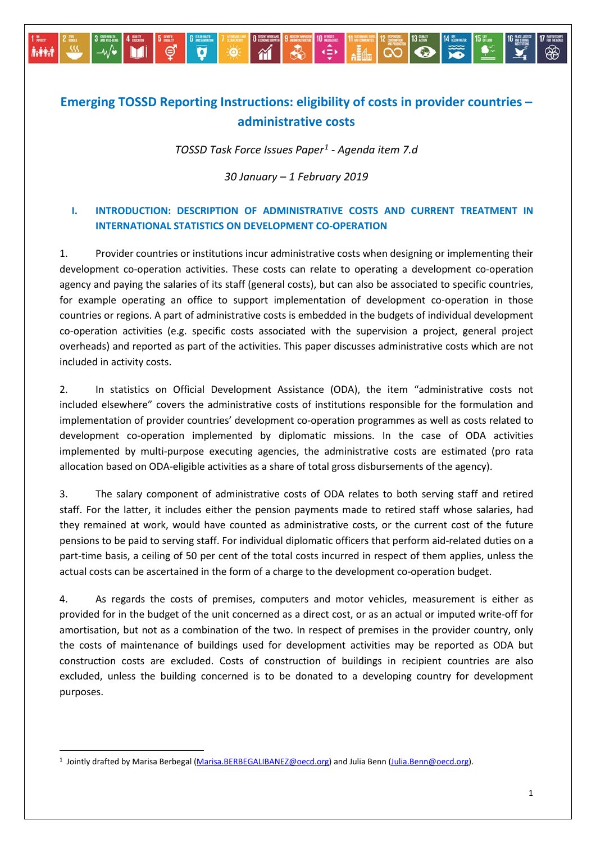# **Emerging TOSSD Reporting Instructions: eligibility of costs in provider countries – administrative costs**

 $\begin{picture}(20,20) \put(0,0){\line(1,0){15}} \put(15,0){\line(1,0){15}} \put(15,0){\line(1,0){15}} \put(15,0){\line(1,0){15}} \put(15,0){\line(1,0){15}} \put(15,0){\line(1,0){15}} \put(15,0){\line(1,0){15}} \put(15,0){\line(1,0){15}} \put(15,0){\line(1,0){15}} \put(15,0){\line(1,0){15}} \put(15,0){\line(1,0){15}} \put(15,0){\line(1$ 

ේ

 $-\sqrt{\bullet}$ 

**M**i

**Avenue** 

 $\begin{bmatrix} 1 & \text{otherwise} \\ -\frac{1}{2} & \text{otherwise} \end{bmatrix}$ 

 $\blacksquare$ 

*TOSSD Task Force Issues Paper[1](#page-0-0) - Agenda item 7.d*

*30 January – 1 February 2019*

## **I. INTRODUCTION: DESCRIPTION OF ADMINISTRATIVE COSTS AND CURRENT TREATMENT IN INTERNATIONAL STATISTICS ON DEVELOPMENT CO-OPERATION**

1. Provider countries or institutions incur administrative costs when designing or implementing their development co-operation activities. These costs can relate to operating a development co-operation agency and paying the salaries of its staff (general costs), but can also be associated to specific countries, for example operating an office to support implementation of development co-operation in those countries or regions. A part of administrative costs is embedded in the budgets of individual development co-operation activities (e.g. specific costs associated with the supervision a project, general project overheads) and reported as part of the activities. This paper discusses administrative costs which are not included in activity costs.

2. In statistics on Official Development Assistance (ODA), the item "administrative costs not included elsewhere" covers the administrative costs of institutions responsible for the formulation and implementation of provider countries' development co-operation programmes as well as costs related to development co-operation implemented by diplomatic missions. In the case of ODA activities implemented by multi-purpose executing agencies, the administrative costs are estimated (pro rata allocation based on ODA-eligible activities as a share of total gross disbursements of the agency).

3. The salary component of administrative costs of ODA relates to both serving staff and retired staff. For the latter, it includes either the pension payments made to retired staff whose salaries, had they remained at work, would have counted as administrative costs, or the current cost of the future pensions to be paid to serving staff. For individual diplomatic officers that perform aid-related duties on a part-time basis, a ceiling of 50 per cent of the total costs incurred in respect of them applies, unless the actual costs can be ascertained in the form of a charge to the development co-operation budget.

4. As regards the costs of premises, computers and motor vehicles, measurement is either as provided for in the budget of the unit concerned as a direct cost, or as an actual or imputed write-off for amortisation, but not as a combination of the two. In respect of premises in the provider country, only the costs of maintenance of buildings used for development activities may be reported as ODA but construction costs are excluded. Costs of construction of buildings in recipient countries are also excluded, unless the building concerned is to be donated to a developing country for development purposes.

<span id="page-0-0"></span><sup>&</sup>lt;sup>1</sup> Jointly drafted by Marisa Berbegal [\(Marisa.BERBEGALIBANEZ@oecd.org\)](mailto:Marisa.BERBEGALIBANEZ@oecd.org) and Julia Benn [\(Julia.Benn@oecd.org\)](mailto:Julia.Benn@oecd.org).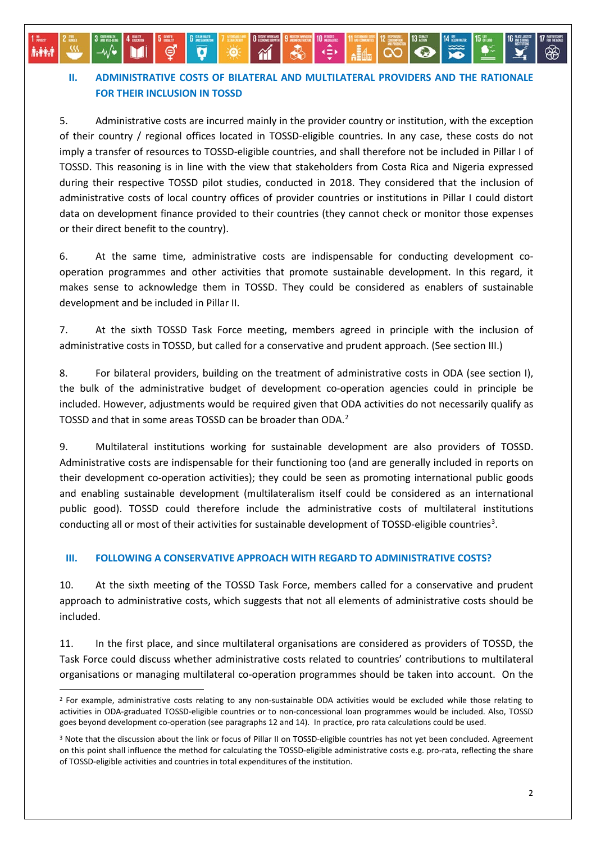# **II. ADMINISTRATIVE COSTS OF BILATERAL AND MULTILATERAL PROVIDERS AND THE RATIONALE FOR THEIR INCLUSION IN TOSSD**

**Ashi** 

5. Administrative costs are incurred mainly in the provider country or institution, with the exception of their country / regional offices located in TOSSD-eligible countries. In any case, these costs do not imply a transfer of resources to TOSSD-eligible countries, and shall therefore not be included in Pillar I of TOSSD. This reasoning is in line with the view that stakeholders from Costa Rica and Nigeria expressed during their respective TOSSD pilot studies, conducted in 2018. They considered that the inclusion of administrative costs of local country offices of provider countries or institutions in Pillar I could distort data on development finance provided to their countries (they cannot check or monitor those expenses or their direct benefit to the country).

6. At the same time, administrative costs are indispensable for conducting development cooperation programmes and other activities that promote sustainable development. In this regard, it makes sense to acknowledge them in TOSSD. They could be considered as enablers of sustainable development and be included in Pillar II.

7. At the sixth TOSSD Task Force meeting, members agreed in principle with the inclusion of administrative costs in TOSSD, but called for a conservative and prudent approach. (See section III.)

8. For bilateral providers, building on the treatment of administrative costs in ODA (see section I), the bulk of the administrative budget of development co-operation agencies could in principle be included. However, adjustments would be required given that ODA activities do not necessarily qualify as TOSSD and that in some areas TOSSD can be broader than ODA.<sup>[2](#page-1-0)</sup>

9. Multilateral institutions working for sustainable development are also providers of TOSSD. Administrative costs are indispensable for their functioning too (and are generally included in reports on their development co-operation activities); they could be seen as promoting international public goods and enabling sustainable development (multilateralism itself could be considered as an international public good). TOSSD could therefore include the administrative costs of multilateral institutions conducting all or most of their activities for sustainable development of TOSSD-eligible countries<sup>[3](#page-1-1)</sup>.

### **III. FOLLOWING A CONSERVATIVE APPROACH WITH REGARD TO ADMINISTRATIVE COSTS?**

10. At the sixth meeting of the TOSSD Task Force, members called for a conservative and prudent approach to administrative costs, which suggests that not all elements of administrative costs should be included.

11. In the first place, and since multilateral organisations are considered as providers of TOSSD, the Task Force could discuss whether administrative costs related to countries' contributions to multilateral organisations or managing multilateral co-operation programmes should be taken into account. On the

<span id="page-1-0"></span> $2$  For example, administrative costs relating to any non-sustainable ODA activities would be excluded while those relating to activities in ODA-graduated TOSSD-eligible countries or to non-concessional loan programmes would be included. Also, TOSSD goes beyond development co-operation (see paragraphs 12 and 14). In practice, pro rata calculations could be used.

<span id="page-1-1"></span><sup>&</sup>lt;sup>3</sup> Note that the discussion about the link or focus of Pillar II on TOSSD-eligible countries has not yet been concluded. Agreement on this point shall influence the method for calculating the TOSSD-eligible administrative costs e.g. pro-rata, reflecting the share of TOSSD-eligible activities and countries in total expenditures of the institution.